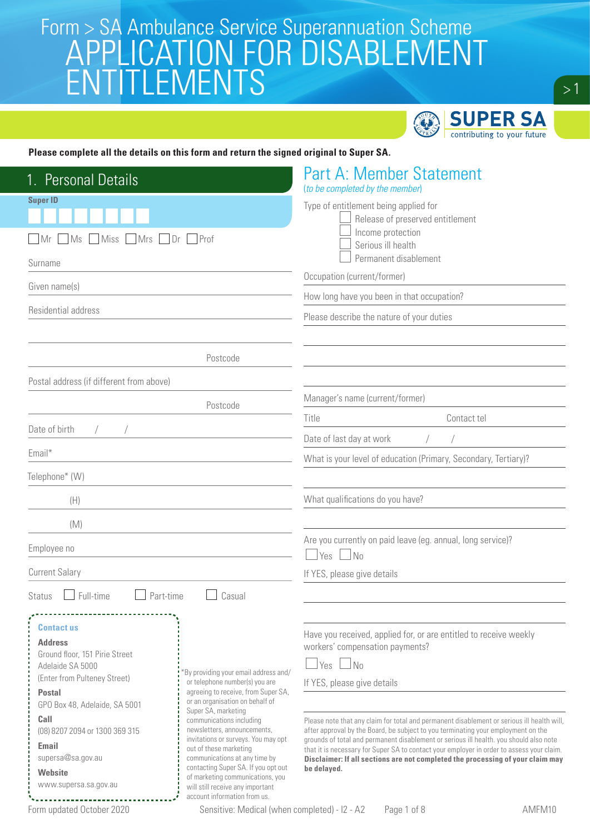

 $>1$ 

#### **Please complete all the details on this form and return the signed original to Super SA.**

| <b>Personal Details</b>                                                                                                                                                                                                                                                                        |                                                                                                                                                                                                                                                                                                                                                                                                                                                                                     | <b>Part A: Member Statement</b><br>(to be completed by the member)                                                                                                                                                                                                                                                                                                                                                                                                                                                                                                                                                                      |
|------------------------------------------------------------------------------------------------------------------------------------------------------------------------------------------------------------------------------------------------------------------------------------------------|-------------------------------------------------------------------------------------------------------------------------------------------------------------------------------------------------------------------------------------------------------------------------------------------------------------------------------------------------------------------------------------------------------------------------------------------------------------------------------------|-----------------------------------------------------------------------------------------------------------------------------------------------------------------------------------------------------------------------------------------------------------------------------------------------------------------------------------------------------------------------------------------------------------------------------------------------------------------------------------------------------------------------------------------------------------------------------------------------------------------------------------------|
| <b>Super ID</b><br>Ms<br>Miss<br><b>Mrs</b><br>  Mr<br>Surname                                                                                                                                                                                                                                 | $Dr$   Prof                                                                                                                                                                                                                                                                                                                                                                                                                                                                         | Type of entitlement being applied for<br>Release of preserved entitlement<br>Income protection<br>Serious ill health<br>Permanent disablement<br>Occupation (current/former)                                                                                                                                                                                                                                                                                                                                                                                                                                                            |
| Given name(s)                                                                                                                                                                                                                                                                                  |                                                                                                                                                                                                                                                                                                                                                                                                                                                                                     | How long have you been in that occupation?                                                                                                                                                                                                                                                                                                                                                                                                                                                                                                                                                                                              |
| Residential address                                                                                                                                                                                                                                                                            |                                                                                                                                                                                                                                                                                                                                                                                                                                                                                     | Please describe the nature of your duties                                                                                                                                                                                                                                                                                                                                                                                                                                                                                                                                                                                               |
|                                                                                                                                                                                                                                                                                                | Postcode                                                                                                                                                                                                                                                                                                                                                                                                                                                                            |                                                                                                                                                                                                                                                                                                                                                                                                                                                                                                                                                                                                                                         |
| Postal address (if different from above)                                                                                                                                                                                                                                                       |                                                                                                                                                                                                                                                                                                                                                                                                                                                                                     |                                                                                                                                                                                                                                                                                                                                                                                                                                                                                                                                                                                                                                         |
|                                                                                                                                                                                                                                                                                                | Postcode                                                                                                                                                                                                                                                                                                                                                                                                                                                                            | Manager's name (current/former)                                                                                                                                                                                                                                                                                                                                                                                                                                                                                                                                                                                                         |
| Date of birth<br>$\sqrt{2}$                                                                                                                                                                                                                                                                    |                                                                                                                                                                                                                                                                                                                                                                                                                                                                                     | Title<br>Contact tel                                                                                                                                                                                                                                                                                                                                                                                                                                                                                                                                                                                                                    |
|                                                                                                                                                                                                                                                                                                |                                                                                                                                                                                                                                                                                                                                                                                                                                                                                     | Date of last day at work                                                                                                                                                                                                                                                                                                                                                                                                                                                                                                                                                                                                                |
| Email*                                                                                                                                                                                                                                                                                         |                                                                                                                                                                                                                                                                                                                                                                                                                                                                                     | What is your level of education (Primary, Secondary, Tertiary)?                                                                                                                                                                                                                                                                                                                                                                                                                                                                                                                                                                         |
| Telephone* (W)                                                                                                                                                                                                                                                                                 |                                                                                                                                                                                                                                                                                                                                                                                                                                                                                     |                                                                                                                                                                                                                                                                                                                                                                                                                                                                                                                                                                                                                                         |
| (H)                                                                                                                                                                                                                                                                                            |                                                                                                                                                                                                                                                                                                                                                                                                                                                                                     | What qualifications do you have?                                                                                                                                                                                                                                                                                                                                                                                                                                                                                                                                                                                                        |
| (M)                                                                                                                                                                                                                                                                                            |                                                                                                                                                                                                                                                                                                                                                                                                                                                                                     |                                                                                                                                                                                                                                                                                                                                                                                                                                                                                                                                                                                                                                         |
| Employee no                                                                                                                                                                                                                                                                                    |                                                                                                                                                                                                                                                                                                                                                                                                                                                                                     | Are you currently on paid leave (eg. annual, long service)?<br>$Yes \Box$ No                                                                                                                                                                                                                                                                                                                                                                                                                                                                                                                                                            |
| <b>Current Salary</b>                                                                                                                                                                                                                                                                          |                                                                                                                                                                                                                                                                                                                                                                                                                                                                                     | If YES, please give details                                                                                                                                                                                                                                                                                                                                                                                                                                                                                                                                                                                                             |
| Full-time<br>Part-time<br><b>Status</b>                                                                                                                                                                                                                                                        | Casual                                                                                                                                                                                                                                                                                                                                                                                                                                                                              |                                                                                                                                                                                                                                                                                                                                                                                                                                                                                                                                                                                                                                         |
|                                                                                                                                                                                                                                                                                                |                                                                                                                                                                                                                                                                                                                                                                                                                                                                                     |                                                                                                                                                                                                                                                                                                                                                                                                                                                                                                                                                                                                                                         |
| <b>Contact us</b><br><b>Address</b><br>Ground floor, 151 Pirie Street<br>Adelaide SA 5000<br>(Enter from Pulteney Street)<br><b>Postal</b><br>GPO Box 48, Adelaide, SA 5001<br>Call<br>(08) 8207 2094 or 1300 369 315<br>Email<br>supersa@sa.gov.au<br><b>Website</b><br>www.supersa.sa.gov.au | By providing your email address and/<br>or telephone number(s) you are<br>agreeing to receive, from Super SA,<br>or an organisation on behalf of<br>Super SA, marketing<br>communications including<br>newsletters, announcements.<br>invitations or surveys. You may opt<br>out of these marketing<br>communications at any time by<br>contacting Super SA. If you opt out<br>of marketing communications, you<br>will still receive any important<br>account information from us. | Have you received, applied for, or are entitled to receive weekly<br>workers' compensation payments?<br>Yes<br>N <sub>0</sub><br>If YES, please give details<br>Please note that any claim for total and permanent disablement or serious ill health will,<br>after approval by the Board, be subject to you terminating your employment on the<br>grounds of total and permanent disablement or serious ill health, you should also note<br>that it is necessary for Super SA to contact your employer in order to assess your claim.<br>Disclaimer: If all sections are not completed the processing of your claim may<br>be delayed. |
| Form updated October 2020                                                                                                                                                                                                                                                                      | Sensitive: Medical (when completed) - I2 - A2                                                                                                                                                                                                                                                                                                                                                                                                                                       | Page 1 of 8<br>AMFM10                                                                                                                                                                                                                                                                                                                                                                                                                                                                                                                                                                                                                   |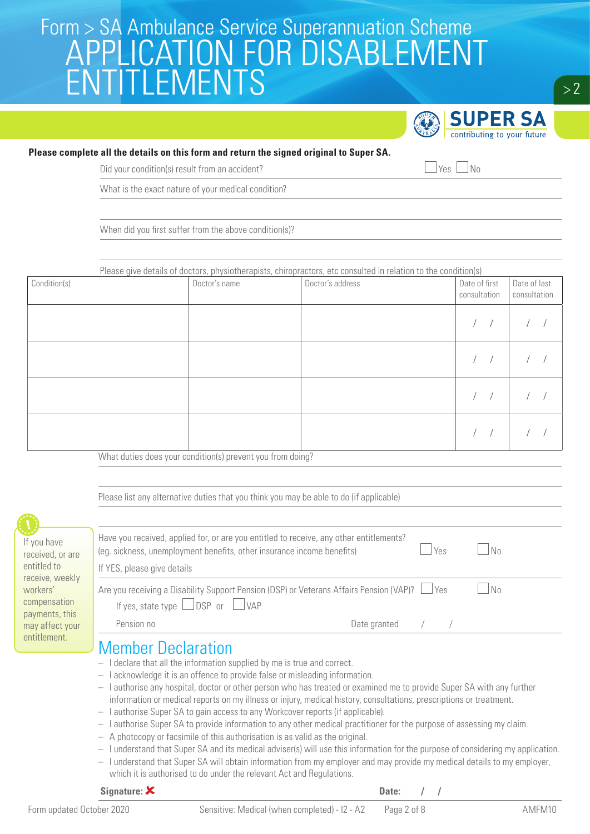

#### **Please complete all the details on this form and return the signed original to Super SA.**

Did your condition(s) result from an accident?  $\Box$  Yes  $\Box$  No

What is the exact nature of your medical condition?

When did you first suffer from the above condition(s)?

| Please give details of doctors, physiotherapists, chiropractors, etc consulted in relation to the condition(s) |                                                         |                  |                               |                              |
|----------------------------------------------------------------------------------------------------------------|---------------------------------------------------------|------------------|-------------------------------|------------------------------|
| Condition(s)                                                                                                   | Doctor's name                                           | Doctor's address | Date of first<br>consultation | Date of last<br>consultation |
|                                                                                                                |                                                         |                  |                               |                              |
|                                                                                                                |                                                         |                  |                               |                              |
|                                                                                                                |                                                         |                  |                               |                              |
|                                                                                                                | $\cdots$ $\cdots$<br>$\sim$ $\sim$ $\sim$ $\sim$ $\sim$ |                  |                               |                              |

What duties does your condition(s) prevent you from doing?

|                                                               | Please list any alternative duties that you think you may be able to do (if applicable)                                                                                                                                                                                                                                                        |              |     |    |
|---------------------------------------------------------------|------------------------------------------------------------------------------------------------------------------------------------------------------------------------------------------------------------------------------------------------------------------------------------------------------------------------------------------------|--------------|-----|----|
| If you have<br>received, or are                               | Have you received, applied for, or are you entitled to receive, any other entitlements?<br>(eg. sickness, unemployment benefits, other insurance income benefits)                                                                                                                                                                              |              | Yes | No |
| entitled to                                                   | If YES, please give details                                                                                                                                                                                                                                                                                                                    |              |     |    |
| receive, weekly<br>workers'<br>compensation<br>payments, this | Are you receiving a Disability Support Pension (DSP) or Veterans Affairs Pension (VAP)? $\Box$ Yes<br>If yes, state type $\Box$ DSP or $\Box$ VAP                                                                                                                                                                                              |              |     | No |
| may affect your                                               | Pension no                                                                                                                                                                                                                                                                                                                                     | Date granted |     |    |
| entitlement.                                                  | <b>Member Declaration</b><br>$-$ I declare that all the information supplied by me is true and correct.<br>acknowledge it is an offence to provide false or misleading information.<br>$\hspace{0.1mm}-\hspace{0.1mm}$<br>I authorise any hospital, doctor or other person who has treated or examined me to provide Super SA with any further |              |     |    |

- information or medical reports on my illness or injury, medical history, consultations, prescriptions or treatment.
- I authorise Super SA to gain access to any Workcover reports (if applicable).
- I authorise Super SA to provide information to any other medical practitioner for the purpose of assessing my claim.
- A photocopy or facsimile of this authorisation is as valid as the original.
- I understand that Super SA and its medical adviser(s) will use this information for the purpose of considering my application.
- I understand that Super SA will obtain information from my employer and may provide my medical details to my employer, which it is authorised to do under the relevant Act and Regulations.

| Signature: $\boldsymbol{\mathsf{X}}$ |  |                                                           | Date: |        |  |
|--------------------------------------|--|-----------------------------------------------------------|-------|--------|--|
| Form updated October 2020            |  | Sensitive: Medical (when completed) - I2 - A2 Page 2 of 8 |       | AMFM10 |  |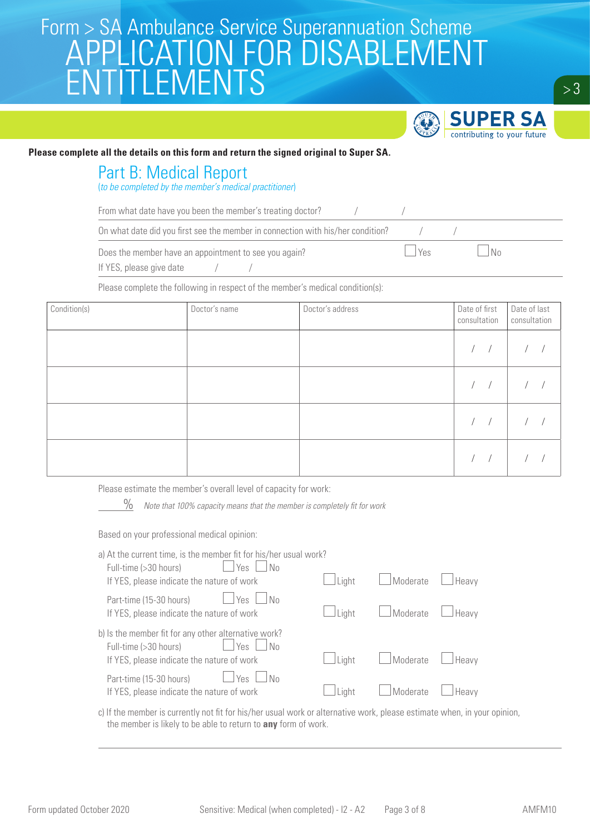

#### **Please complete all the details on this form and return the signed original to Super SA.**

#### Part B: Medical Report

(to be completed by the member's medical practitioner)

From what date have you been the member's treating doctor?  $/$ 

On what date did you first see the member in connection with his/her condition?  $/$ 

Does the member have an appointment to see you again?  $\Box$  Yes  $\Box$  Yes  $\Box$  No

If YES, please give date

Please complete the following in respect of the member's medical condition(s):

| Condition(s) | Doctor's name | Doctor's address | Date of first<br>consultation | Date of last<br>consultation |  |
|--------------|---------------|------------------|-------------------------------|------------------------------|--|
|              |               |                  | $\sqrt{2}$                    |                              |  |
|              |               |                  | $\sqrt{2}$                    |                              |  |
|              |               |                  | $\sqrt{2}$                    |                              |  |
|              |               |                  | $\sqrt{2}$                    |                              |  |

Please estimate the member's overall level of capacity for work:

 $\%$  Note that 100% capacity means that the member is completely fit for work

Based on your professional medical opinion:

| a) At the current time, is the member fit for his/her usual work?<br><b>Yes</b><br>Full-time (>30 hours)<br>No. |       |          |       |  |
|-----------------------------------------------------------------------------------------------------------------|-------|----------|-------|--|
| If YES, please indicate the nature of work                                                                      | Light | Moderate | Heavy |  |
| Part-time (15-30 hours)<br>Yes<br>No.<br>If YES, please indicate the nature of work                             | Light | Moderate | Heavy |  |
| b) Is the member fit for any other alternative work?                                                            |       |          |       |  |
| Full-time (>30 hours)<br>Yes<br>No<br>If YES, please indicate the nature of work                                | Light | Moderate | Heavy |  |
| Part-time (15-30 hours)<br><b>Yes</b><br>No<br>If YES, please indicate the nature of work                       | Light | Moderate | Heavy |  |
|                                                                                                                 |       |          |       |  |

c) If the member is currently not fit for his/her usual work or alternative work, please estimate when, in your opinion, the member is likely to be able to return to **any** form of work.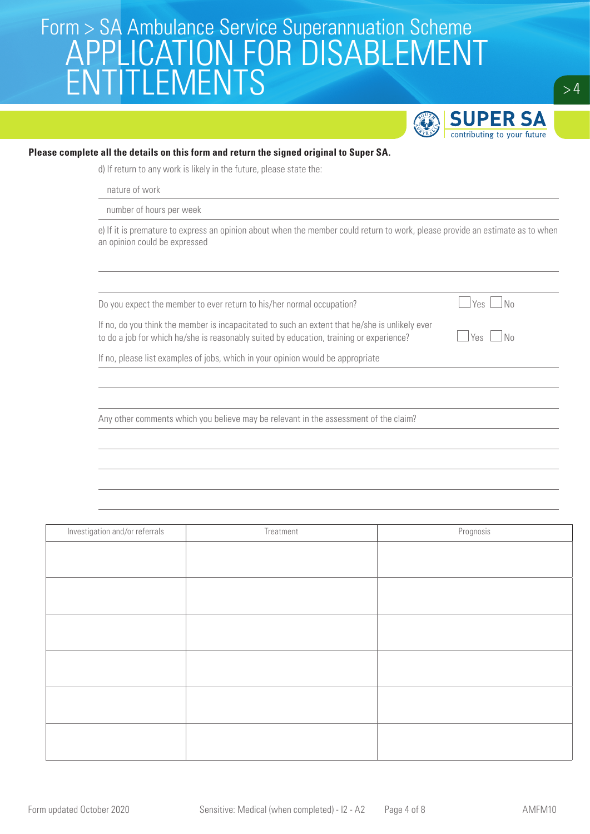

#### **Please complete all the details on this form and return the signed original to Super SA.**

d) If return to any work is likely in the future, please state the:

nature of work

number of hours per week

e) If it is premature to express an opinion about when the member could return to work, please provide an estimate as to when an opinion could be expressed

Do you expect the member to ever return to his/her normal occupation?  $\Box$  Yes  $\Box$  No

If no, do you think the member is incapacitated to such an extent that he/she is unlikely ever to do a job for which he/she is reasonably suited by education, training or experience?  $\Box$  Yes  $\Box$  No

If no, please list examples of jobs, which in your opinion would be appropriate

Any other comments which you believe may be relevant in the assessment of the claim?

Investigation and/or referrals and the contract of the Treatment Contract of the Prognosis Prognosis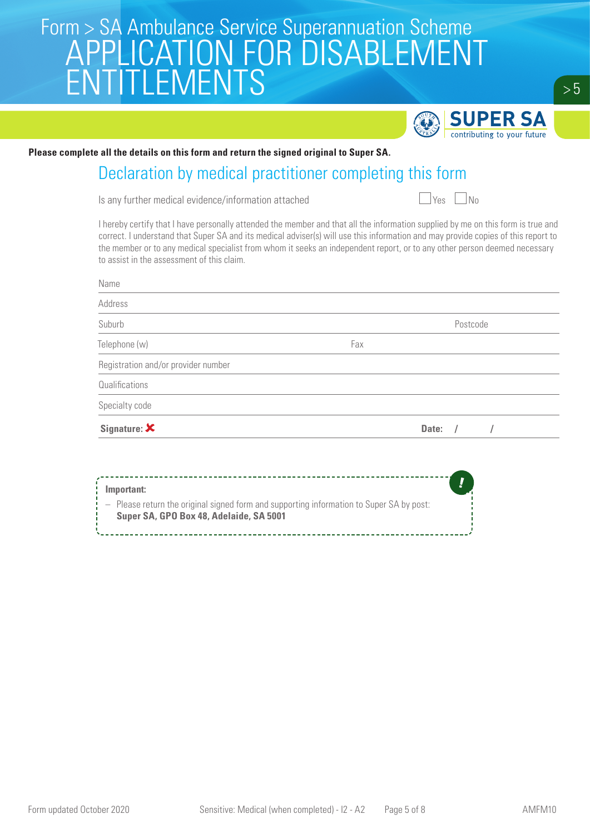

**Please complete all the details on this form and return the signed original to Super SA.**

### Declaration by medical practitioner completing this form

Is any further medical evidence/information attached  $\Box$  Yes  $\Box$  No

I hereby certify that I have personally attended the member and that all the information supplied by me on this form is true and correct. I understand that Super SA and its medical adviser(s) will use this information and may provide copies of this report to the member or to any medical specialist from whom it seeks an independent report, or to any other person deemed necessary to assist in the assessment of this claim.

| Name                                |     |           |  |
|-------------------------------------|-----|-----------|--|
| Address                             |     |           |  |
| Suburb                              |     | Postcode  |  |
| Telephone (w)                       | Fax |           |  |
| Registration and/or provider number |     |           |  |
| Qualifications                      |     |           |  |
| Specialty code                      |     |           |  |
| Signature: $\boldsymbol{\times}$    |     | Date: $/$ |  |

| Important:                                                                                                                          |
|-------------------------------------------------------------------------------------------------------------------------------------|
| - Please return the original signed form and supporting information to Super SA by post:<br>Super SA, GPO Box 48, Adelaide, SA 5001 |
|                                                                                                                                     |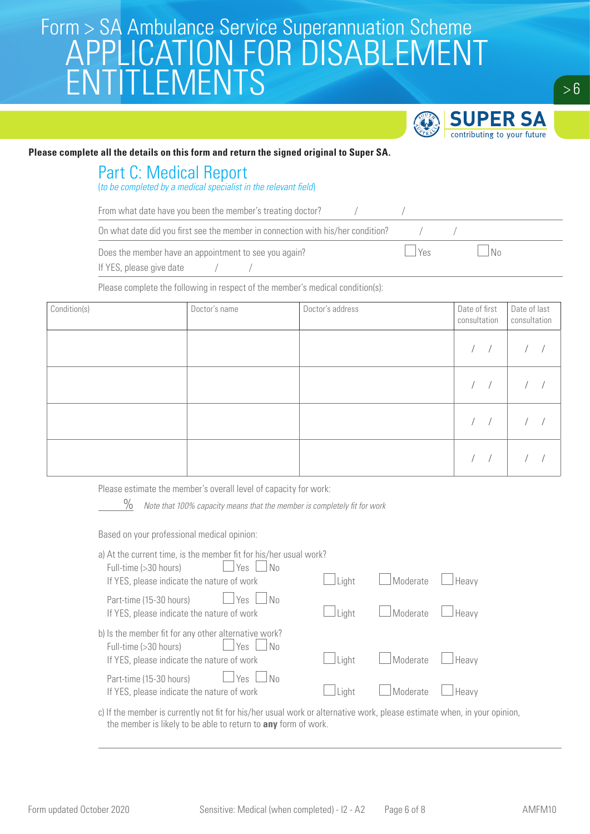

#### **Please complete all the details on this form and return the signed original to Super SA.**

#### Part C: Medical Report

(to be completed by a medical specialist in the relevant field)

From what date have you been the member's treating doctor?  $/$ 

On what date did you first see the member in connection with his/her condition?  $/$ 

Does the member have an appointment to see you again?  $\Box$  Yes  $\Box$  Yes  $\Box$  No

If YES, please give date

Please complete the following in respect of the member's medical condition(s):

| Condition(s) | Doctor's name | Doctor's address | Date of first<br>consultation | Date of last<br>consultation |  |
|--------------|---------------|------------------|-------------------------------|------------------------------|--|
|              |               |                  | $\sqrt{2}$                    |                              |  |
|              |               |                  | $\sqrt{2}$                    |                              |  |
|              |               |                  | $\sqrt{2}$                    |                              |  |
|              |               |                  | $\sqrt{2}$                    |                              |  |

Please estimate the member's overall level of capacity for work:

 $\%$  Note that 100% capacity means that the member is completely fit for work

Based on your professional medical opinion:

| a) At the current time, is the member fit for his/her usual work?<br>Yes<br>Full-time (>30 hours)<br>N <sub>0</sub> |       |          |       |  |
|---------------------------------------------------------------------------------------------------------------------|-------|----------|-------|--|
| If YES, please indicate the nature of work                                                                          | Light | Moderate | Heavy |  |
| Part-time (15-30 hours)<br>Yes<br>l No<br>If YES, please indicate the nature of work                                | Liaht | Moderate | Heavy |  |
| b) Is the member fit for any other alternative work?<br>Yes<br>Full-time (>30 hours)<br>l No                        |       |          |       |  |
| If YES, please indicate the nature of work                                                                          | Liaht | Moderate | Heavy |  |
| Part-time (15-30 hours)<br>Yes<br>No<br>If YES, please indicate the nature of work                                  | Light | Moderate | Heavy |  |
|                                                                                                                     |       |          |       |  |

c) If the member is currently not fit for his/her usual work or alternative work, please estimate when, in your opinion, the member is likely to be able to return to **any** form of work.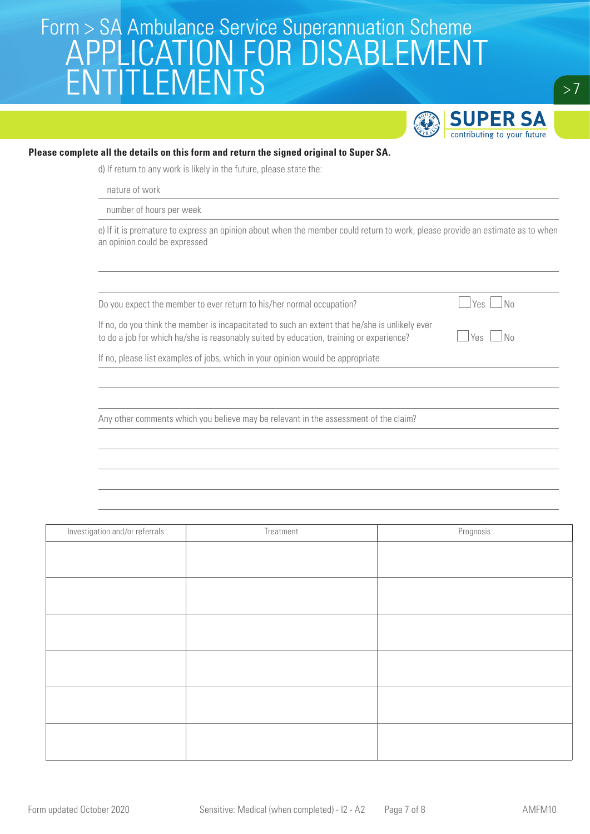

#### **Please complete all the details on this form and return the signed original to Super SA.**

d) If return to any work is likely in the future, please state the:

nature of work

number of hours per week

e) If it is premature to express an opinion about when the member could return to work, please provide an estimate as to when an opinion could be expressed

Do you expect the member to ever return to his/her normal occupation?  $\Box$  Yes  $\Box$  No

If no, do you think the member is incapacitated to such an extent that he/she is unlikely ever to do a job for which he/she is reasonably suited by education, training or experience?  $\Box$  Yes  $\Box$  No

If no, please list examples of jobs, which in your opinion would be appropriate

Any other comments which you believe may be relevant in the assessment of the claim?

Investigation and/or referrals and the contract of the Treatment Contract of the Prognosis Prognosis